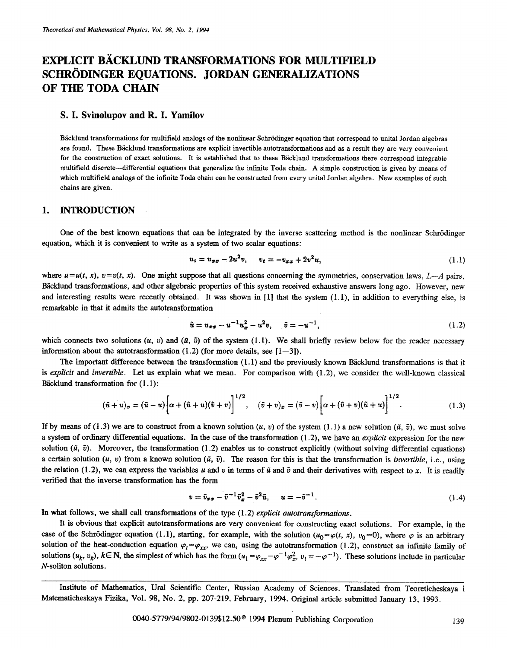# **EXPLICIT BACKLUND TRANSFORMATIONS FOR MULTIFIELD SCHRÖDINGER EQUATIONS. JORDAN GENERALIZATIONS OF THE TODA CHAIN**

#### **S. I. Svinolupov and R. I. Yamilov**

Bäcklund transformations for multifield analogs of the nonlinear Schrödinger equation that correspond to unital Jordan algebras are found. These Bäcklund transformations are explicit invertible autotransformations and as a result they are very convenient for the construction of exact solutions. It is established that to these Bäcklund transformations there correspond integrable multifield discrete--differential equations that generalize the infinite Toda chain. A simple construction is given by means of which multifield analogs of the infinite Toda chain can be constructed from every unital Jordan algebra. New examples of such chains are given.

### 1. **INTRODUCTION**

One of the best known equations that can be integrated by the inverse scattering method is the nonlinear Schrödinger equation, which it is convenient to write as a system of two scalar equations:

$$
u_t = u_{xx} - 2u^2v, \qquad v_t = -v_{xx} + 2v^2u,\tag{1.1}
$$

where  $u=u(t, x)$ ,  $v=v(t, x)$ . One might suppose that all questions concerning the symmetries, conservation laws, *L*--*A* pairs, Bäcklund transformations, and other algebraic properties of this system received exhaustive answers long ago. However, new and interesting results were recently obtained. It was shown in [1] that the system (1.1), in addition to everything else, is remarkable in that it admits the autotransformation

$$
\tilde{u} = u_{xx} - u^{-1}u_x^2 - u^2v, \quad \tilde{v} = -u^{-1}, \tag{1.2}
$$

which connects two solutions  $(u, v)$  and  $(\tilde{u}, \tilde{v})$  of the system (1.1). We shall briefly review below for the reader necessary information about the autotransformation  $(1.2)$  (for more details, see  $[1-3]$ ).

The important difference between the transformation  $(1.1)$  and the previously known B $\ddot{a}$ cklund transformations is that it is *explicit* and *invertible.* Let us explain what we mean. For comparison with (1.2), we consider the well-known classical Bäcklund transformation for  $(1.1)$ :

$$
(\tilde{u}+u)_x=(\tilde{u}-u)\bigg[\alpha+(\tilde{u}+u)(\tilde{v}+v)\bigg]^{1/2},\quad (\tilde{v}+v)_x=(\tilde{v}-v)\bigg[\alpha+(\tilde{v}+v)(\tilde{u}+u)\bigg]^{1/2}.
$$
\n(1.3)

If by means of (1.3) we are to construct from a known solution  $(u, v)$  of the system (1.1) a new solution  $(\tilde{u}, \tilde{v})$ , we must solve a system of ordinary differential equations. In the case of the transformation (1.2), we have an *explicit* expression for the new solution  $(\tilde{a}, \tilde{v})$ . Moreover, the transformation (1.2) enables us to construct explicitly (without solving differential equations) a certain solution  $(u, v)$  from a known solution  $(\tilde{u}, \tilde{v})$ . The reason for this is that the transformation is *invertible*, i.e., using the relation (1.2), we can express the variables u and v in terms of  $\tilde{u}$  and  $\tilde{v}$  and their derivatives with respect to x. It is readily verified that the inverse transformation has the form

$$
\mathbf{v} = \tilde{\mathbf{v}}_{xx} - \tilde{\mathbf{v}}^{-1} \tilde{\mathbf{v}}_x^2 - \tilde{\mathbf{v}}^2 \tilde{\mathbf{u}}, \qquad \mathbf{u} = -\tilde{\mathbf{v}}^{-1}.
$$
 (1.4)

In what follows, we shall call transformations of the type (1.2) *explicit autotransformations.* 

It is obvious that explicit autotransformations are very convenient for constructing exact solutions. For example, in the case of the Schrödinger equation (1.1), starting, for example, with the solution ( $u_0 = \varphi(t, x)$ ,  $v_0 = 0$ ), where  $\varphi$  is an arbitrary solution of the heat-conduction equation  $\varphi_t = \varphi_{xx}$ , we can, using the autotransformation (1.2), construct an infinite family of solutions  $(u_k, v_k)$ ,  $k \in \mathbb{N}$ , the simplest of which has the form  $(u_1 = \varphi_{xx} - \varphi^{-1} \varphi_x^2, v_1 = -\varphi^{-1})$ . These solutions include in particular N-soliton solutions.

Institute of Mathematics, Ural Scientific Center, Russian Academy of Sciences. Translated from Teoreticheskaya i Matematieheskaya Fizika, Vol. 98, No. 2, pp. 207-219, February, 1994. Original article submitted January 13, 1993.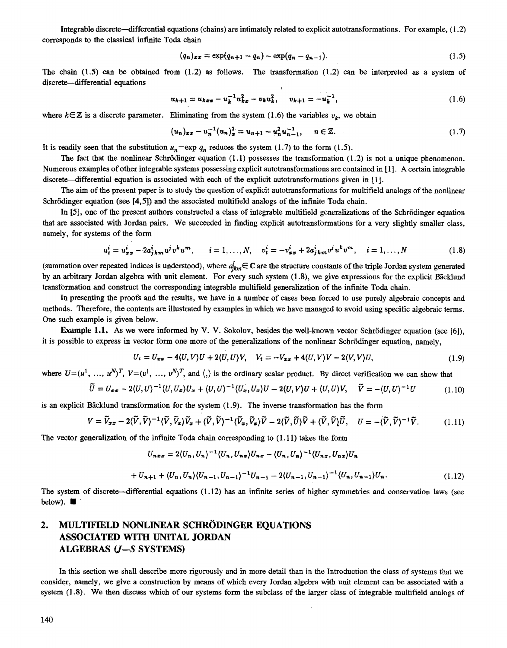Integrable discrete--differential equations (chains) are intimately related to explicit autotransformations. For example, (1.2) corresponds to the classical infinite Toda chain

$$
(q_n)_{xx} = \exp(q_{n+1} - q_n) - \exp(q_n - q_{n-1}). \tag{1.5}
$$

The chain  $(1.5)$  can be obtained from  $(1.2)$  as follows. The transformation  $(1.2)$  can be interpreted as a system of discrete-differential equations I

$$
u_{k+1} = u_{kxx} - u_k^{-1}u_{kx}^2 - v_ku_k^2, \quad v_{k+1} = -u_k^{-1},
$$
\n(1.6)

where  $k \in \mathbb{Z}$  is a discrete parameter. Eliminating from the system (1.6) the variables  $v_k$ , we obtain

$$
(u_n)_{xx} - u_n^{-1} (u_n)_x^2 = u_{n+1} - u_n^2 u_{n-1}^{-1}, \quad n \in \mathbb{Z}.
$$
 (1.7)

It is readily seen that the substitution  $u_n = \exp q_n$  reduces the system (1.7) to the form (1.5).

The fact that the nonlinear Schrödinger equation  $(1.1)$  possesses the transformation  $(1.2)$  is not a unique phenomenon. Numerous examples of other integrable systems possessing explicit autotransformations are contained in [1]. A certain integrable discrete--differential equation is associated with each of the explicit autotransformations given in [1].

The aim of the present paper is to study the question of explicit autotransformations for multifield analogs of the nonlinear Schrödinger equation (see [4,5]) and the associated multifield analogs of the infinite Toda chain.

In [5], one of the present authors constructed a class of integrable multifield generalizations of the Schrödinger equation that are assoeiated with Jordan pairs. We succeeded in finding explicit autotransformations for a very slightly smaller class, namely, for systems of the form

$$
u_t^i = u_{xx}^i - 2a_{jkm}^i u^j v^k u^m, \qquad i = 1, ..., N, \quad v_t^i = -v_{xx}^i + 2a_{jkm}^i v^j u^k v^m, \quad i = 1, ..., N
$$
 (1.8)

(summation over repeated indices is understood), where  $a_{ikm}^i \in \mathbb{C}$  are the structure constants of the triple Jordan system generated by an arbitrary Jordan algebra with unit element. For every such system (1.8), we give expressions for the explicit Bäcklund transformation and construct the corresponding integrable multifield generalization of the infinite Toda chain.

In presenting the proofs and the results, we have in a number of cases been forced to use purely algebraic concepts and methods. Therefore, the contents are illustrated by examples in which we have managed to avoid using specific algebraic terms. One such example is given below.

Example 1.1. As we were informed by V. V. Sokolov, besides the well-known vector Schrödinger equation (see [6]), it is possible to express in vector form one more of the generalizations of the nonlinear Schrödinger equation, namely,

$$
U_t = U_{xx} - 4\langle U, V \rangle U + 2\langle U, U \rangle V, \quad V_t = -V_{xx} + 4\langle U, V \rangle V - 2\langle V, V \rangle U,
$$
\n(1.9)

where  $U=(u^1, \ldots, u^N)^T$ ,  $V=(v^1, \ldots, v^N)^T$ , and  $\langle, \rangle$  is the ordinary scalar product. By direct verification we can show that

$$
\widetilde{U} = U_{xx} - 2\langle U, U \rangle^{-1} \langle U, U_x \rangle U_x + \langle U, U \rangle^{-1} \langle U_x, U_x \rangle U - 2\langle U, V \rangle U + \langle U, U \rangle V, \quad \widetilde{V} = -\langle U, U \rangle^{-1} U \tag{1.10}
$$

is an explicit Bäcklund transformation for the system (1.9). The inverse transformation has the form

$$
V = \widetilde{V}_{xx} - 2\langle \widetilde{V}, \widetilde{V} \rangle^{-1} \langle \widetilde{V}, \widetilde{V}_x \rangle \widetilde{V}_x + \langle \widetilde{V}, \widetilde{V} \rangle^{-1} \langle \widetilde{V}_x, \widetilde{V}_x \rangle \widetilde{V} - 2\langle \widetilde{V}, \widetilde{U} \rangle \widetilde{V} + \langle \widetilde{V}, \widetilde{V} \rangle \widetilde{U}, \quad U = -\langle \widetilde{V}, \widetilde{V} \rangle^{-1} \widetilde{V}.
$$
 (1.11)

The vector generalization of the infinite Toda chain corresponding to (1.11) takes the form

$$
U_{nxx}=2\langle U_n,U_n\rangle^{-1}\langle U_n,U_{nx}\rangle U_{nx}-\langle U_n,U_n\rangle^{-1}\langle U_{nx},U_{nx}\rangle U_n
$$

$$
+ U_{n+1} + \langle U_n, U_n \rangle \langle U_{n-1}, U_{n-1} \rangle^{-1} U_{n-1} - 2 \langle U_{n-1}, U_{n-1} \rangle^{-1} \langle U_n, U_{n-1} \rangle U_n. \tag{1.12}
$$

The system of discrete--differential equations (1.12) has an infinite series of higher symmetries and conservation laws (see below).  $\blacksquare$ 

# 2. MULTIFIELD NONLINEAR SCHRÖDINGER EQUATIONS ASSOCIATED WITH UNITAL JORDAN ALGEBRAS (J--S SYSTEMS)

In this section we shall describe more rigorously and in more detail than in the Introduction the class of systems that we consider, namely, we give a construction by means of which every Jordan algebra with unit element can be associated with a system (1.8). We then discuss which of our systems form the subclass of the larger class of integrable multifield analogs of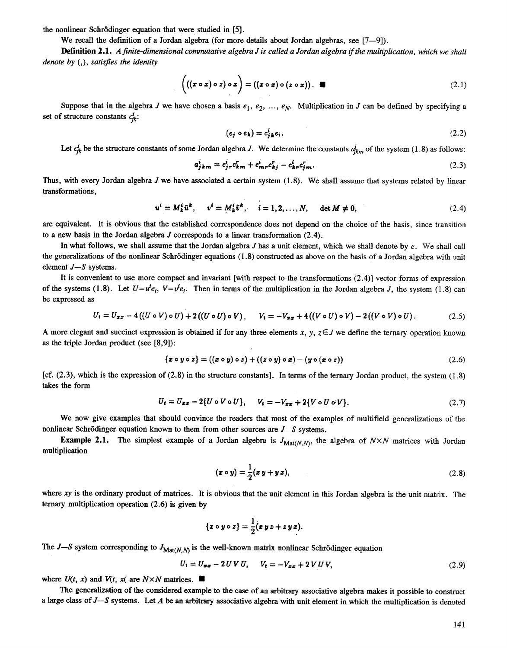the nonlinear Schrödinger equation that were studied in [5].

We recall the definition of a Jordan algebra (for more details about Jordan algebras, see  $[7-9]$ ).

Definition 2.1. *A finite-dimensional commutative algebra J is called a Jordan algebra if the multiplication, which we shall denote by (,), satisfies the identity* 

$$
\left(\left(\left(x\circ x\right)\circ z\right)\circ x\right)=\left(\left(x\circ x\right)\circ\left(z\circ x\right)\right).
$$
 (2.1)

Suppose that in the algebra J we have chosen a basis  $e_1, e_2, ..., e_N$ . Multiplication in J can be defined by specifying a set of structure constants  $c_{ik}^i$ :

$$
(e_j \circ e_k) = c_{jk}^i e_i. \tag{2.2}
$$

Let  $c_{jk}^i$  be the structure constants of some Jordan algebra J. We determine the constants  $d_{km}^i$  of the system (1.8) as follows:

$$
a_{jkm}^i = c_{j\tau}^i c_{km}^r + c_{mr}^i c_{kj}^r - c_{kr}^i c_{jm}^r. \tag{2.3}
$$

Thus, with every Jordan algebra  $J$  we have associated a certain system  $(1.8)$ . We shall assume that systems related by linear transformations,

$$
u^{i} = M_{k}^{i} \tilde{u}^{k}, \quad v^{i} = M_{k}^{i} \tilde{v}^{k}, \quad i = 1, 2, ..., N, \quad \det M \neq 0,
$$
 (2.4)

are equivalent. It is obvious that the established correspondence does not depend on the choice of the basis, since transition to a new basis in the Jordan algebra J corresponds to a linear transformation (2.4).

In what follows, we shall assume that the Jordan algebra  $J$  has a unit element, which we shall denote by  $e$ . We shall call the generalizations of the nonlinear Schr6dinger equations (1.8) constructed as above on the basis of a Jordan algebra with unit element  $J - S$  systems.

It is convenient to use more compact and invariant [with respect to the transformations (2.4)] vector forms of expression of the systems (1.8). Let  $U=u^i e_i$ ,  $V=v^i e_i$ . Then in terms of the multiplication in the Jordan algebra J, the system (1.8) can be expressed as

$$
U_t = U_{xx} - 4((U \circ V) \circ U) + 2((U \circ U) \circ V), \qquad V_t = -V_{xx} + 4((V \circ U) \circ V) - 2((V \circ V) \circ U). \tag{2.5}
$$

A more elegant and succinct expression is obtained if for any three elements x, y,  $z \in J$  we define the ternary operation known as the triple Jordan product (see [8,9]):

$$
\{x \circ y \circ z\} = ((x \circ y) \circ z) + ((z \circ y) \circ x) - (y \circ (x \circ z))
$$
\n
$$
(2.6)
$$

 $[cf. (2.3),$  which is the expression of  $(2.8)$  in the structure constants]. In terms of the ternary Jordan product, the system  $(1.8)$ takes the form

$$
U_t = U_{xx} - 2\{U \circ V \circ U\}, \qquad V_t = -V_{xx} + 2\{V \circ U \circ V\}.
$$
 (2.7)

We now give examples that should convince the readers that most of the examples of multifield generalizations of the nonlinear Schrödinger equation known to them from other sources are *J*-S systems.

Example 2.1. The simplest example of a Jordan algebra is  $J_{\text{Mat}(N,N)}$ , the algebra of  $N \times N$  matrices with Jordan multiplication

$$
(\boldsymbol{x} \circ \boldsymbol{y}) = \frac{1}{2} (\boldsymbol{x} \, \boldsymbol{y} + \boldsymbol{y} \, \boldsymbol{x}), \tag{2.8}
$$

where xy is the ordinary product of matrices. It is obvious that the unit element in this Jordan algebra is the unit matrix. The ternary multiplication operation (2.6) is given by

$$
\{x\circ y\circ z\}=\frac{1}{2}(xyz+zyx).
$$

The  $J-S$  system corresponding to  $J_{\text{Mat}(N,N)}$  is the well-known matrix nonlinear Schrödinger equation

$$
U_t = U_{xx} - 2UVU, \t V_t = -V_{xx} + 2VUV,
$$
\t(2.9)

where  $U(t, x)$  and  $V(t, x)$  are  $N \times N$  matrices.

The generalization of the considered example to the case of an arbitrary associative algebra makes it possible to construct a large class of  $J-S$  systems. Let  $A$  be an arbitrary associative algebra with unit element in which the multiplication is denoted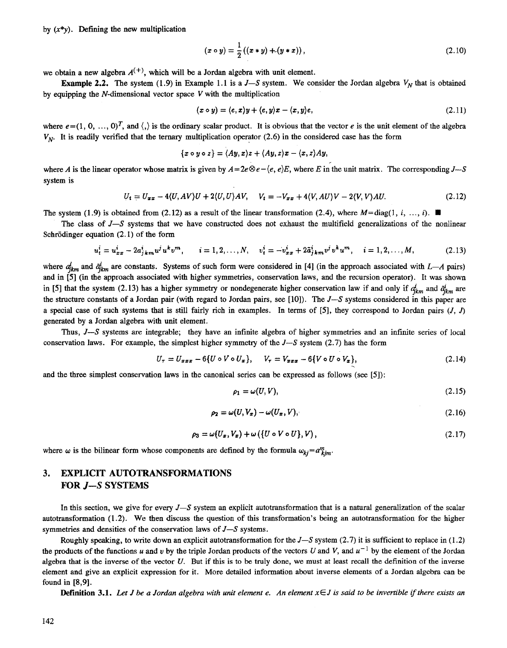by  $(x^*y)$ . Defining the new multiplication

$$
(x \circ y) = \frac{1}{2} ((x * y) + (y * x)), \qquad (2.10)
$$

we obtain a new algebra  $A^{(+)}$ , which will be a Jordan algebra with unit element.

**Example 2.2.** The system (1.9) in Example 1.1 is a  $J-S$  system. We consider the Jordan algebra  $V_N$  that is obtained by equipping the  $N$ -dimensional vector space  $V$  with the multiplication

$$
(x \circ y) = (e, x)y + (e, y)x - (x, y)e,
$$
\n
$$
(2.11)
$$

where  $e=(1, 0, ..., 0)^T$ , and  $\langle$ , is the ordinary scalar product. It is obvious that the vector e is the unit element of the algebra  $V_{N}$ . It is readily verified that the ternary multiplication operator (2.6) in the considered case has the form

$$
\{x\circ y\circ z\}=\langle Ay,x\rangle z+\langle Ay,z\rangle x-\langle x,z\rangle Ay,
$$

where *A* is the linear operator whose matrix is given by  $A = 2e \otimes e - \langle e, e \rangle E$ , where *E* in the unit matrix. The corresponding *J*--S system is

$$
U_t = U_{xx} - 4\langle U, AV \rangle U + 2\langle U, U \rangle AV, \quad V_t = -V_{xx} + 4\langle V, AU \rangle V - 2\langle V, V \rangle AU. \tag{2.12}
$$

The system (1.9) is obtained from (2.12) as a result of the linear transformation (2.4), where  $M = \text{diag}(1, i, ..., i)$ .

The class of *J--S* systems that we have constructed does not exhaust the multifield generalizations of the nonlinear Schrödinger equation  $(2.1)$  of the form

$$
u_t^i = u_{xx}^i - 2a_{jkm}^i u^j u^k v^m, \qquad i = 1, 2, ..., N, \qquad v_t^i = -v_{xx}^i + 2\tilde{a}_{jkm}^i v^j v^k u^m, \qquad i = 1, 2, ..., M,
$$
 (2.13)

where  $a_{ikm}^i$  and  $\tilde{a}_{ikm}^i$  are constants. Systems of such form were considered in [4] (in the approach associated with *L--A* pairs) and in [5] (in the approach associated with higher symmetries, conservation laws, and the recursion operator). It was shown in [5] that the system (2.13) has a higher symmetry or nondegenerate higher conservation law if and only if  $d_{km}^i$  and  $d_{km}^i$  are the structure constants of a Jordan pair (with regard to Jordan pairs, see [10]). The *J--S* systems considered in this paper are a special case of such systems that is still fairly rich in examples. In terms of [5], they correspond to Jordan pairs  $(J, J)$ generated by a Jordan algebra with unit element.

Thus, *J--S* systems are integrable; they have an infinite algebra of higher symmetries and an infinite series of local conservation laws. For example, the simplest higher symmetry of the *J--S* system (2.7) has the form

$$
U_{\tau} = U_{xxx} - 6\{U \circ V \circ U_x\}, \qquad V_{\tau} = V_{xxx} - 6\{V \circ U \circ V_x\}, \tag{2.14}
$$

and the three simplest conservation laws in the canonical series can be expressed as follows (see [5]):

$$
\rho_1 = \omega(U, V),\tag{2.15}
$$

$$
\rho_2 = \omega(U, V_x) - \omega(U_x, V), \qquad (2.16)
$$

$$
\rho_3 = \omega(U_x, V_x) + \omega(\{U \circ V \circ U\}, V), \qquad (2.17)
$$

where  $\omega$  is the bilinear form whose components are defined by the formula  $\omega_{ki} = a^m_{kim}$ .

## 3. EXPLICIT AUTOTRANSFORMATIONS **FOR** *J--S* SYSTEMS

In this section, we give for every *J*-S system an explicit autotransformation that is a natural generalization of the scalar autotransformation (1.2). We then discuss the question of this transformation's being an autotransformation for the higher symmetries and densities of the conservation laws of *J--S* systems.

Roughly speaking, to write down an explicit autotransformation for the *J--S* system (2.7) it is sufficient to replace in (1.2) the products of the functions u and v by the triple Jordan products of the vectors U and V, and  $u^{-1}$  by the element of the Jordan algebra that is the inverse of the vector U. But if this is to be truly done, we must at least recall the definition of the inverse element and give an explicit expression for it. More detailed information about inverse elements of a Jordan algebra can be found in [8,9].

**Definition 3.1.** Let *J* be a Jordan algebra with unit element e. An element  $x \in J$  is said to be invertible if there exists an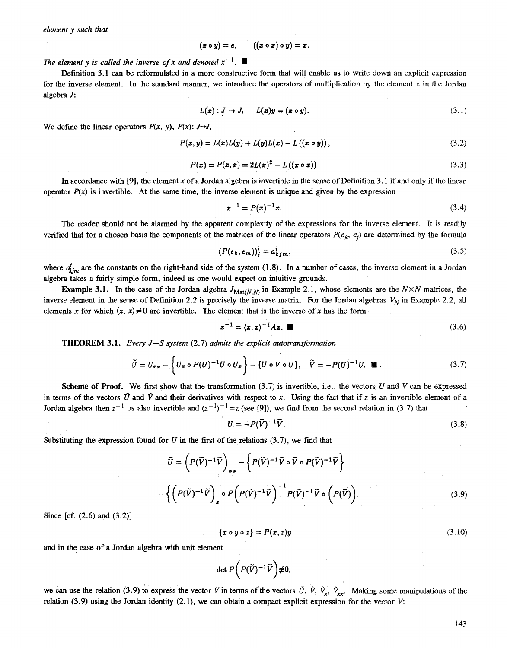$$
(x\circ y)=e, \qquad ((x\circ x)\circ y)=x.
$$

The element y is called the inverse of x and denoted  $x^{-1}$ .

Definition 3.1 can be reformulated in a more constructive form that will enable us to write down an explicit expression for the inverse element. In the standard manner, we introduce the operators of multiplication by the element  $x$  in the Jordan algebra J:

$$
L(x): J \to J, \qquad L(x)y = (x \circ y). \tag{3.1}
$$

We define the linear operators  $P(x, y)$ ,  $P(x)$ :  $J \rightarrow J$ ,

$$
P(x, y) = L(x)L(y) + L(y)L(x) - L((x \circ y)),
$$
\n(3.2)

$$
P(x) = P(x, x) = 2L(x)^{2} - L((x \circ x)).
$$
\n(3.3)

In accordance with [9], the element x of a Jordan algebra is invertible in the sense of Definition 3.1 if and only if the linear operator  $P(x)$  is invertible. At the same time, the inverse element is unique and given by the expression

$$
x^{-1} = P(x)^{-1}x.\tag{3.4}
$$

The reader should not be alarmed by the apparent complexity of the expressions for the inverse element. It is readily verified that for a chosen basis the components of the matrices of the linear operators  $P(e_k, e_j)$  are determined by the formula

$$
(P(e_k, e_m))_j^i = a_{kjm}^i,\tag{3.5}
$$

where  $a^{j}_{kjm}$  are the constants on the right-hand side of the system (1.8). In a number of cases, the inverse element in a Jordan algebra takes a fairly simple form, indeed as one would expect on intuitive grounds.

**Example 3.1.** In the case of the Jordan algebra  $J_{\text{Mat}(N,N)}$  in Example 2.1, whose elements are the  $N \times N$  matrices, the inverse element in the sense of Definition 2.2 is precisely the inverse matrix. For the Jordan algebras  $V_N$  in Example 2.2, all elements x for which  $\langle x, x \rangle \neq 0$  are invertible. The element that is the inverse of x has the form

$$
x^{-1} = (x, x)^{-1} A x. \quad \blacksquare \tag{3.6}
$$

THEOREM 3.1. *Every J--S system* (2.7) *admits the explicit autotransforrnation* 

$$
\widetilde{U} = U_{xx} - \left\{ U_x \circ P(U)^{-1} U \circ U_x \right\} - \left\{ U \circ V \circ U \right\}, \quad \widetilde{V} = -P(U)^{-1} U. \quad \blacksquare \tag{3.7}
$$

**Scheme of Proof.** We first show that the transformation  $(3.7)$  is invertible, i.e., the vectors U and V can be expressed in terms of the vectors  $\tilde{U}$  and  $\tilde{V}$  and their derivatives with respect to x. Using the fact that if z is an invertible element of a Jordan algebra then  $z^{-1}$  os also invertible and  $(z^{-1})^{-1} = z$  (see [9]), we find from the second relation in (3.7) that

$$
U = -P(\tilde{V})^{-1}\tilde{V}.
$$
\n(3.8)

Substituting the expression found for U in the first of the relations  $(3.7)$ , we find that

$$
\widetilde{U} = \left( P(\widetilde{V})^{-1} \widetilde{V} \right)_{xx} - \left\{ P(\widetilde{V})^{-1} \widetilde{V} \circ \widetilde{V} \circ P(\widetilde{V})^{-1} \widetilde{V} \right\}
$$

$$
- \left\{ \left( P(\widetilde{V})^{-1} \widetilde{V} \right)_x \circ P \left( P(\widetilde{V})^{-1} \widetilde{V} \right)^{-1} P(\widetilde{V})^{-1} \widetilde{V} \circ \left( P(\widetilde{V}) \right). \right\} \tag{3.9}
$$

Since [cf.  $(2.6)$  and  $(3.2)$ ]

$$
\{x \circ y \circ z\} = P(x, z)y \tag{3.10}
$$

and in the case of a Jordan algebra with unit element

$$
\det P\bigg(P(\widetilde{V})^{-1}\widetilde{V}\bigg)\not\equiv 0,
$$

we can use the relation (3.9) to express the vector V in terms of the vectors  $\tilde{U}$ ,  $\tilde{V}$ ,  $\tilde{V}_x$ ,  $\tilde{V}_{xx}$ . Making some manipulations of the relation (3.9) using the Jordan identity (2.1), we can obtain a compact explicit expression for the vector V: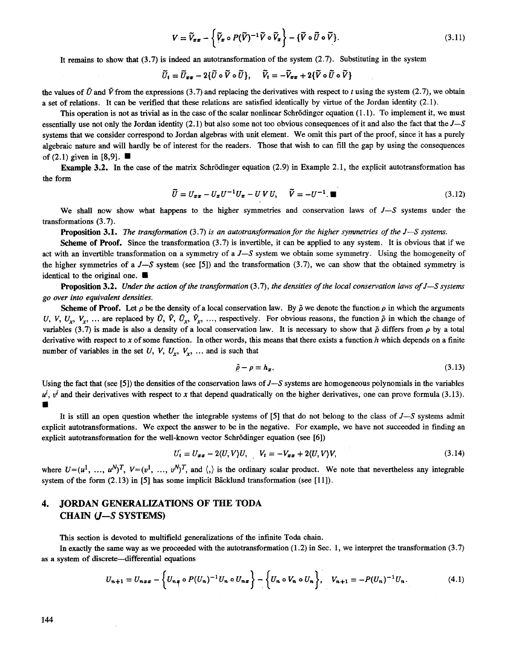$$
V = \widetilde{V}_{xx} - \left\{ \widetilde{V}_x \circ P(\widetilde{V})^{-1} \widetilde{V} \circ \widetilde{V}_x \right\} - \left\{ \widetilde{V} \circ \widetilde{U} \circ \widetilde{V} \right\}.
$$
 (3.11)

It remains to show that  $(3.7)$  is indeed an autotransformation of the system  $(2.7)$ . Substituting in the system

$$
\widetilde{U}_t = \widetilde{U}_{xx} - 2\{\widetilde{U}\circ\widetilde{V}\circ\widetilde{U}\}, \quad \widetilde{V}_t = -\widetilde{V}_{xx} + 2\{\widetilde{V}\circ\widetilde{U}\circ\widetilde{V}\}
$$

the values of  $\tilde{U}$  and  $\tilde{V}$  from the expressions (3.7) and replacing the derivatives with respect to t using the system (2.7), we obtain a set of relations. It can be verified that these relations are satisfied identically by virtue of the Jordan identity (2.1).

This operation is not as trivial as in the case of the scalar nonlinear Schrödinger equation  $(1.1)$ . To implement it, we must essentially use not only the Jordan identity (2.1) but also some not too obvious consequences of it and also the fact that the *J--S*  systems that we consider correspond to Jordan algebras with unit element. We omit this part of the proof, since it has a purely algebraic nature and will hardly be of interest for the readers. Those that wish to can fill the gap by using the consequences of  $(2.1)$  given in [8,9].

Example 3.2. In the case of the matrix Schrödinger equation  $(2.9)$  in Example 2.1, the explicit autotransformation has the form

$$
\widetilde{U} = U_{xx} - U_x U^{-1} U_x - U V U, \quad \widetilde{V} = -U^{-1} \blacksquare \tag{3.12}
$$

We shall now show what happens to the higher symmetries and conservation laws of  $J-S$  systems under the transformations (3.7).

Proposition 3.1. The *transformation* (3.7) *is an autotransformation for the higher symmetries of the J--S systems.* 

scheme of Proof. Since the transformation (3.7) is invertible, it can be applied to any system. It is obvious that if we act with an invertible transformation on a symmetry of a *J--S* system we obtain some symmetry. Using the homogeneity of the higher symmetries of a  $J-S$  system (see [5]) and the transformation (3.7), we can show that the obtained symmetry is identical to the original one.  $\blacksquare$ 

Proposition 3.2. *Under the action of the transformation* (3.7), *the densities of the local conservation laws of J--S systems go over into equivalent densities.* 

Scheme of Proof. Let  $\rho$  be the density of a local conservation law. By  $\tilde{\rho}$  we denote the function  $\rho$  in which the arguments *U, V, U<sub>x</sub>, V<sub>r</sub>, ... are replaced by*  $\tilde{U}$ *,*  $\tilde{V}$ *,*  $\tilde{U}_r$ *,*  $\tilde{V}_r$ *, ..., respectively. For obvious reasons, the function*  $\tilde{\rho}$  *in which the change of* variables (3.7) is made is also a density of a local conservation law. It is necessary to show that  $\tilde{\rho}$  differs from  $\rho$  by a total derivative with respect to x of some function. In other words, this means that there exists a function  $h$  which depends on a finite number of variables in the set  $U, V, U_r, V_r, \ldots$  and is such that

$$
\tilde{\rho} - \rho = h_x. \tag{3.13}
$$

Using the fact that (see [5]) the densities of the conservation laws *of J--S* systems are homogeneous polynomials in the variables  $u^i$ ,  $v^i$  and their derivatives with respect to x that depend quadratically on the higher derivatives, one can prove formula (3.13).  $\blacksquare$ 

It is still an open question whether the integrable systems of [5] that do not belong to the class of *J--S* systems admit explicit autotransformations. We expect the answer to be in the negative. For example, we have not succeeded in finding an explicit autotransformation for the well-known vector Schrödinger equation (see [6])

$$
U_t = U_{xx} - 2\langle U, V \rangle U, \qquad V_t = -V_{xx} + 2\langle U, V \rangle V, \tag{3.14}
$$

where  $U=(u^1, \ldots, u^N)^T$ ,  $V=(v^1, \ldots, v^N)^T$ , and  $\langle, \rangle$  is the ordinary scalar product. We note that nevertheless any integrable system of the form  $(2.13)$  in  $[5]$  has some implicit Bäcklund transformation (see  $[11]$ ).

### 4. JORDAN GENERALIZATIONS OF THE TODA **CHAIN** (J--S SYSTEMS)

This section is devoted to multifield generalizations of the infinite Toda chain.

In exactly the same way as we proceeded with the autotransformation  $(1.2)$  in Sec. 1, we interpret the transformation  $(3.7)$ as a system of discrete-differential equations

$$
U_{n+1} = U_{nxx} - \left\{ U_{nx} \circ P(U_n)^{-1} U_n \circ U_{nx} \right\} - \left\{ U_n \circ V_n \circ U_n \right\}, \quad V_{n+1} = -P(U_n)^{-1} U_n. \tag{4.1}
$$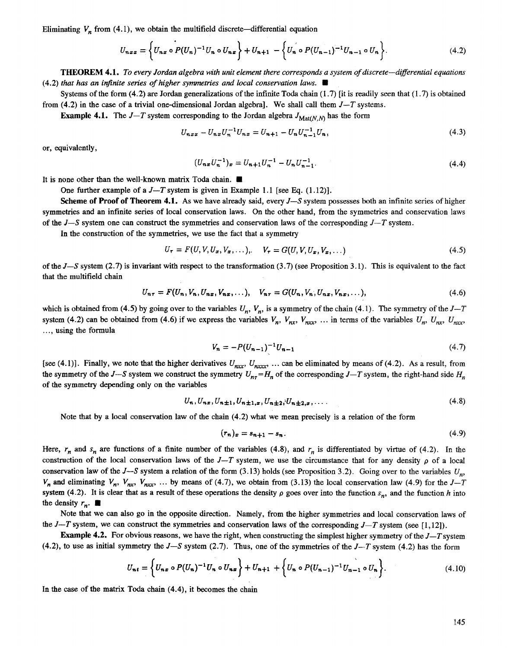Eliminating  $V_n$  from (4.1), we obtain the multifield discrete—differential equation

$$
U_{nxx} = \left\{ U_{nx} \circ P(U_n)^{-1} U_n \circ U_{nx} \right\} + U_{n+1} - \left\{ U_n \circ P(U_{n-1})^{-1} U_{n-1} \circ U_n \right\}.
$$
 (4.2)

THEOREM 4.1. *To every Jordan algebra with unit element there corresponds a system of discrete--differential equations*   $(4.2)$  *that has an infinite series of higher symmetries and local conservation laws.* 

Systems of the form  $(4.2)$  are Jordan generalizations of the infinite Toda chain  $(1.7)$  [it is readily seen that  $(1.7)$  is obtained from (4.2) in the ease of a trivial one-dimensional Jordan algebra]. We shall call them *J--T* systems.

**Example 4.1.** The  $J-T$  system corresponding to the Jordan algebra  $J_{\text{Mat}(N,N)}$  has the form

$$
U_{nxx} - U_{nx}U_n^{-1}U_{nx} = U_{n+1} - U_nU_{n-1}^{-1}U_n,
$$
\n(4.3)

or, equivalently,

$$
(U_{n\pi}U_n^{-1})_{\pi} = U_{n+1}U_n^{-1} - U_nU_{n-1}^{-1}.
$$
\n(4.4)

It is none other than the well-known matrix Toda chain.  $\blacksquare$ 

One further example of a  $J-T$  system is given in Example 1.1 [see Eq. (1.12)].

Scheme of Proof of Theorem 4.1. As we have already said, every *J--S* system possesses both an infinite series of higher symmetries and an infinite series of local conservation laws. On the other hand, from the symmetries and conservation taws of the *J--S* system one can construct the symmetries and conservation laws of the corresponding *J--T* system.

In the construction of the symmetries, we use the fact that a symmetry

$$
U_{\tau} = F(U, V, U_x, V_x, \dots), \quad V_{\tau} = G(U, V, U_x, V_x, \dots) \tag{4.5}
$$

of the *J--S* system (2.7) is invariant with respect to the transformation (3.7) (see Proposition 3.1). This is equivalent to the fact that the multifield chain

$$
U_{n\tau} = F(U_n, V_n, U_{n\tau}, V_{n\tau}, \dots), \quad V_{n\tau} = G(U_n, V_n, U_{n\tau}, V_{n\tau}, \dots), \tag{4.6}
$$

which is obtained from (4.5) by going over to the variables  $U_n$ ,  $V_n$ , is a symmetry of the chain (4.1). The symmetry of the *J*-T system (4.2) can be obtained from (4.6) if we express the variables  $V_n$ ,  $V_{nx}$ ,  $V_{nx}$ , ... in terms of the variables  $U_n$ ,  $U_{nx}$ ,  $U_{nx}$ ,  $U_{nx}$ .... using the formula

$$
V_n = -P(U_{n-1})^{-1}U_{n-1} \tag{4.7}
$$

[see (4.1)]. Finally, we note that the higher derivatives  $U_{nxx}$ ,  $U_{nxxx}$ , ... can be eliminated by means of (4.2). As a result, from the symmetry of the *J*--S system we construct the symmetry  $U_{n\tau} = H_n$  of the corresponding *J*-T system, the right-hand side  $H_n$ of the symmetry depending only on the variables

$$
U_n, U_{n}t, U_{n+1}, U_{n+1}t, U_{n+2}, U_{n+2}t, \dots
$$
\n
$$
(4.8)
$$

Note that by a local conservation law of the chain (4.2) what we mean precisely is a relation of the form

$$
(\mathbf{r}_n)_x = \mathbf{s}_{n+1} - \mathbf{s}_n. \tag{4.9}
$$

Here,  $r_n$  and  $s_n$  are functions of a finite number of the variables (4.8), and  $r_n$  is differentiated by virtue of (4.2). In the construction of the local conservation laws of the J-T system, we use the circumstance that for any density  $\rho$  of a local conservation law of the *J--S* system a relation of the form (3.13) holds (see Proposition 3.2). Going over to the variables *Un,*   $V_n$  and eliminating  $V_n$ ,  $V_{nx}$ ,  $V_{nx}$ , ... by means of (4.7), we obtain from (3.13) the local conservation law (4.9) for the *J*-T system (4.2). It is clear that as a result of these operations the density  $\rho$  goes over into the function  $s_n$ , and the function h into the density  $r_n$ .

Note that we can also go in the opposite direction. Namely, from the higher symmetries and local conservation laws of the *J*-T system, we can construct the symmetries and conservation laws of the corresponding *J*-T system (see [1,12]).

Example 4.2. For obvious reasons, we have the right, when constructing the simplest higher symmetry of the *J--T* system  $(4.2)$ , to use as initial symmetry the  $J-S$  system  $(2.7)$ . Thus, one of the symmetries of the  $J-T$  system  $(4.2)$  has the form

$$
U_{n,t} = \left\{ U_{n,x} \circ P(U_n)^{-1} U_n \circ U_{n,x} \right\} + U_{n+1} + \left\{ U_n \circ P(U_{n-1})^{-1} U_{n-1} \circ U_n \right\}.
$$
 (4.10)

In the case of the matrix Toda chain (4.4), it becomes the chain